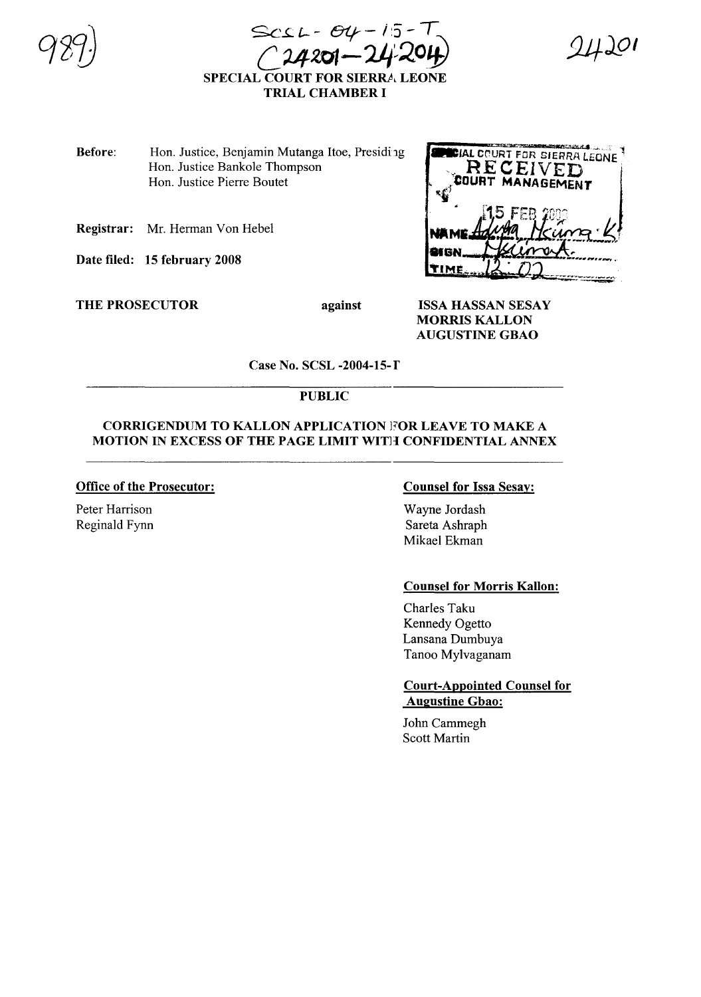$Scst - 84 - 15 - 7$  $4201 - 24201$ 



SPECIAL COURT FOR SIERRA LEONE TRIAL CHAMBER I

- Before: Hon. Justice, Benjamin Mutanga Itoe, Presiding Hon. Justice Bankole Thompson Hon. Justice Pierre Boutet
- Registrar: Mr. Herman Von Hebel

Date filed: 15 february 2008

THE PROSECUTOR against



ISSA HASSAN SESAY MORRIS KALLON AUGUSTINE GBAO

Case No. SCSL -2004-15-f

# PUBLIC

### CORRIGENDUM TO KALLON APPLICATION FOR LEAVE TO MAKE A MOTION IN EXCESS OF THE PAGE LIMIT WITH CONFIDENTIAL ANNEX

# Office of the Prosecutor:

Peter Harrison Reginald Fynn

# Counsel for Issa Sesay:

Wayne Jordash Sareta Ashraph Mikael Ekman

### Counsel for Morris Kallon:

Charles Taku Kennedy Ogetto Lansana Dumbuya Tanoo Mylvaganam

#### Court-Appointed Counsel for Augustine Gbao:

John Cammegh Scott Martin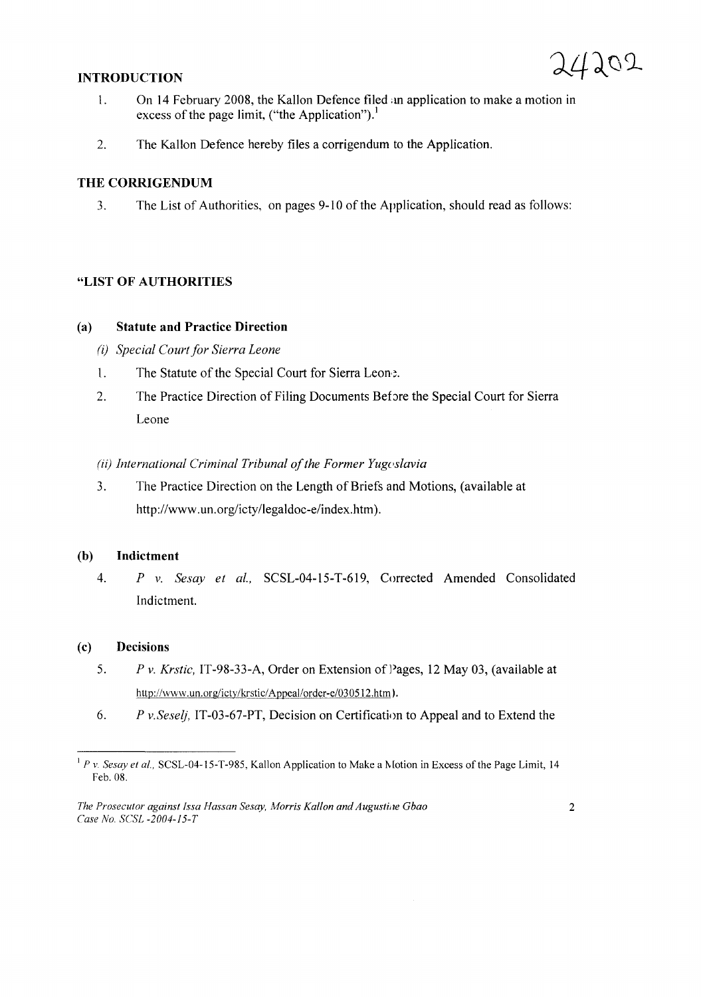# **INTRODUCTION**



- 1. On 14 February 2008, the Kallon Defence filed an application to make a motion in excess of the page limit, ("the Application").<sup>1</sup>
- 2. The Kallon Defence hereby files a corrigendum to the Application.

## **THE CORRIGENDUM**

3. The List of Authorities, on pages 9-10 of the Application, should read as follows:

### **"LIST OF AUTHORITIES**

### (a) **Statute and Practice Direction**

- (i) *Special Court for Sierra Leone*
- 1. The Statute of the Special Court for Sierra Leon:
- 2. The Practice Direction of Filing Documents Before the Special Court for Sierra Leone

#### *(ii) International Criminal Tribunal of the Former Yugoslavia*

3. The Practice Direction on the Length of Briefs and Motions, (available at http://www.un.org/icty/legaldoc-e/index.htm).

## (b) **Indictment**

*4. P v. Sesay et al.,* SCSL-04-15-T-619, Corrected Amended Consolidated Indictment.

### (c) **Decisions**

- *5. P v. Krstic,* IT-98-33-A, Order on Extension of Pages, 12 May 03, (available at http://www.un.org/icty/krstic/Appeal/order-e/030512.htm).
- *6. P v.Seselj,* IT-03-67-PT, Decision on Certificatinn to Appeal and to Extend the

 $1^1$  *P v. Sesay et al.,* SCSL-04-15-T-985, Kallon Application to Make a Motion in Excess of the Page Limit, 14 Feb. 08.

*The Prosecutor against Issa Hassan Sesay, Morris Kallon and Augustine Gbao Case No. SCSL -2004-/5-T*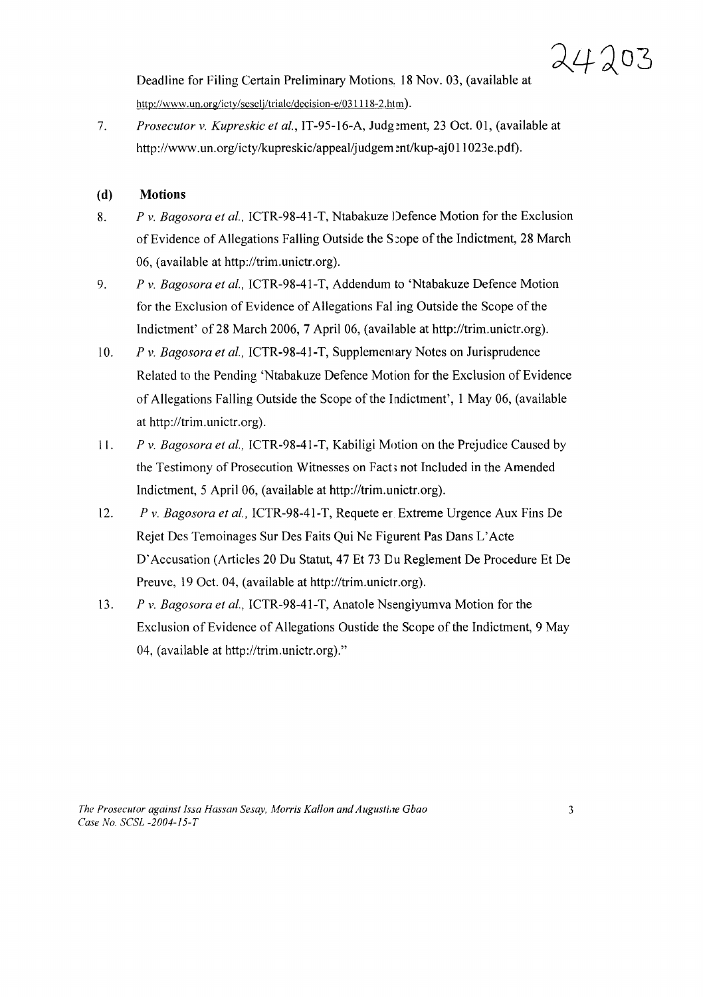Deadline for Filing Certain Preliminary Motions, 18 Nov. 03, (available at http://www.un.org/icty/scselj/trialc/decision-e/031118-2.htm).

*7. Prosecutor v. Kupreskic et al.,* IT-95-16-A, Judg?ment, 23 Oct. 01, (available at http://www.un.org/icty/kupreskic/appeal/judgem ent/kup-aj011023e.pdf).

# (d) **Motions**

- *8. P* v. *Bagosora et al.,* ICTR-98-41-T, Ntabakuze Defence Motion for the Exclusion of Evidence of Allegations Falling Outside the Scope of the Indictment, 28 March 06, (available at http://trim.unictr.org).
- *9. P* v. *Bagosora et al.,* ICTR-98-41-T, Addendum to 'Ntabakuze Defence Motion for the Exclusion of Evidence of Allegations Fal ing Outside the Scope of the Indictment' of 28 March 2006, 7 April 06, (available at http://trim.unictr.org).
- *10. P* v. *Bagosora et al.,* ICTR-98-4I-T, Supplemenlary Notes on Jurisprudence Related to the Pending 'Ntabakuze Defence Motion for the Exclusion of Evidence of Allegations Falling Outside the Scope of the Indictment', 1 May 06, (available at http://trim.unictr.org).
- II. *P* v. *Bagosora et al.,* ICTR-98-41-T, Kabiligi Motion on the Prejudice Caused by the Testimony of Prosecution Witnesses on Fact; not Included in the Amended Indictment, 5 April 06, (available at http://trim.unictr.org).
- *12. P* v. *Bagosora et al.,* ICTR-98-41-T, Requete er Extreme Urgence Aux Fins De Rejet Des Temoinages Sur Des Faits Qui Ne Figurent Pas Dans L'Acte D'Accusation (Articles 20 Du Statut, 47 Et 73 Du Reglement De Procedure Et De Preuve, 19 Oct. 04, (available at http://trim.unictr.org).
- *13. P* v. *Bagosora et al.,* ICTR-98-41-T, Anatole Nsengiyumva Motion for the Exclusion of Evidence of Allegations Oustide the Scope of the Indictment, 9 May 04, (available at http://trim.unictr.org).''